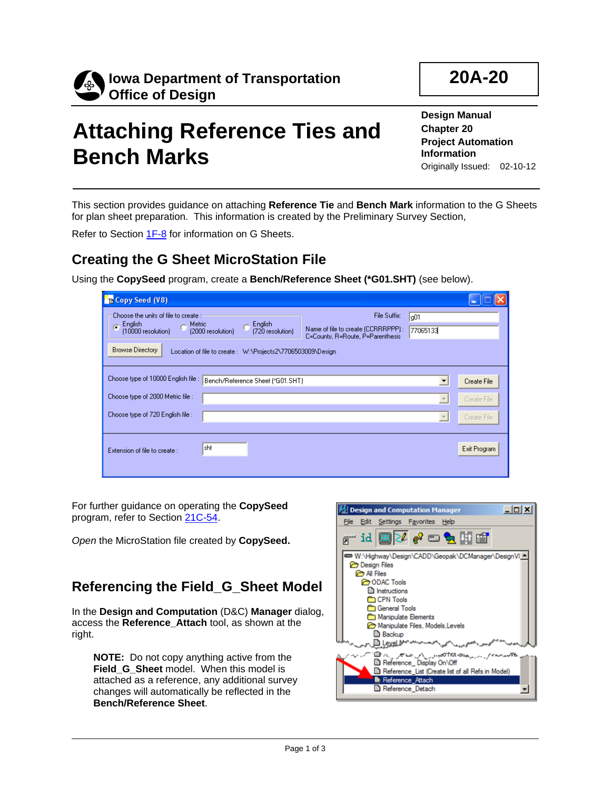

# **Attaching Reference Ties and Bench Marks**

**Design Manual Chapter 20 Project Automation Information**  Originally Issued: 02-10-12

This section provides guidance on attaching **Reference Tie** and **Bench Mark** information to the G Sheets for plan sheet preparation. This information is created by the Preliminary Survey Section,

Refer to Section 1F-8 for information on G Sheets.

#### **Creating the G Sheet MicroStation File**

Using the **CopySeed** program, create a **Bench/Reference Sheet (\*G01.SHT)** (see below).

| <b>PR</b> Copy Seed (V8)                                                                                          |                                                                                                                 |                                                                                        |                                                                       |                                           |
|-------------------------------------------------------------------------------------------------------------------|-----------------------------------------------------------------------------------------------------------------|----------------------------------------------------------------------------------------|-----------------------------------------------------------------------|-------------------------------------------|
| Choose the units of file to create :<br>English<br>C Metric<br>G<br>[10000 resolution]<br><b>Browse Directory</b> | English<br>(2000 resolution)<br>(720 resolution)<br>Location of file to create : W:\Projects2\7706503009\Design | File Suffix:<br>Name of file to create (CCRRRPPP):<br>C=County, R=Route, P=Parenthesis | q01<br>77065133                                                       |                                           |
| Choose type of 10000 English file :<br>Choose type of 2000 Metric file :<br>Choose type of 720 English file :     | Bench/Reference Sheet (*G01.SHT)                                                                                |                                                                                        | $\blacktriangledown$<br>$\overline{\psi}$<br>$\overline{\phantom{m}}$ | Create File<br>Create File<br>Create File |
| Extension of file to create :                                                                                     | İsht                                                                                                            |                                                                                        |                                                                       | Exit Program                              |

For further guidance on operating the **CopySeed** program, refer to Section 21C-54.

*Open* the MicroStation file created by **CopySeed.**

#### **Referencing the Field\_G\_Sheet Model**

In the **Design and Computation** (D&C) **Manager** dialog, access the **Reference\_Attach** tool, as shown at the right.

**NOTE:** Do not copy anything active from the **Field\_G\_Sheet** model. When this model is attached as a reference, any additional survey changes will automatically be reflected in the **Bench/Reference Sheet**.

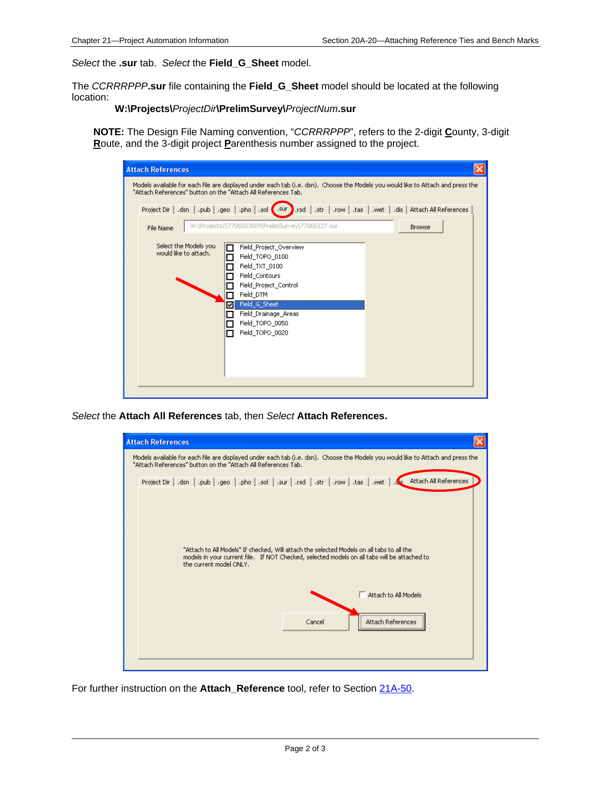*Select* the **.sur** tab. *Select* the **Field\_G\_Sheet** model.

The *CCRRRPPP***.sur** file containing the **Field\_G\_Sheet** model should be located at the following location:

**W:\Projects\***ProjectDir***\PrelimSurvey\***ProjectNum***.sur**

**NOTE:** The Design File Naming convention, "*CCRRRPPP*", refers to the 2-digit **C**ounty, 3-digit **R**oute, and the 3-digit project **P**arenthesis number assigned to the project.

| <b>Attach References</b>                                      |                                                                                                                                                                                                    |                                                          |
|---------------------------------------------------------------|----------------------------------------------------------------------------------------------------------------------------------------------------------------------------------------------------|----------------------------------------------------------|
| "Attach References" button on the "Attach All References Tab. | Models available for each file are displayed under each tab (i.e. dsn). Choose the Models you would like to Attach and press the                                                                   |                                                          |
| Project Dir   .dsn   .pub   .geo   .pho   .sol (.sur )        | .rsd                                                                                                                                                                                               | .str   .row   .tas   .wet   .dis   Attach All References |
| File Name                                                     | W:\Projects2\7706503009\PrelimSurvey\77065127.sur                                                                                                                                                  | <b>Browse</b>                                            |
| Select the Models you<br>would like to attach.<br>⊽<br>ΙI     | Field Project Overview<br>Field_TOPO_0100<br>Field_TXT_0100<br>Field_Contours<br>Field_Project_Control<br>Field_DTM<br>Field_G_Sheet<br>Field_Drainage_Areas<br>Field TOPO 0050<br>Field_TOPO_0020 |                                                          |

*Select* the **Attach All References** tab, then *Select* **Attach References.**



For further instruction on the **Attach\_Reference** tool, refer to Section 21A-50.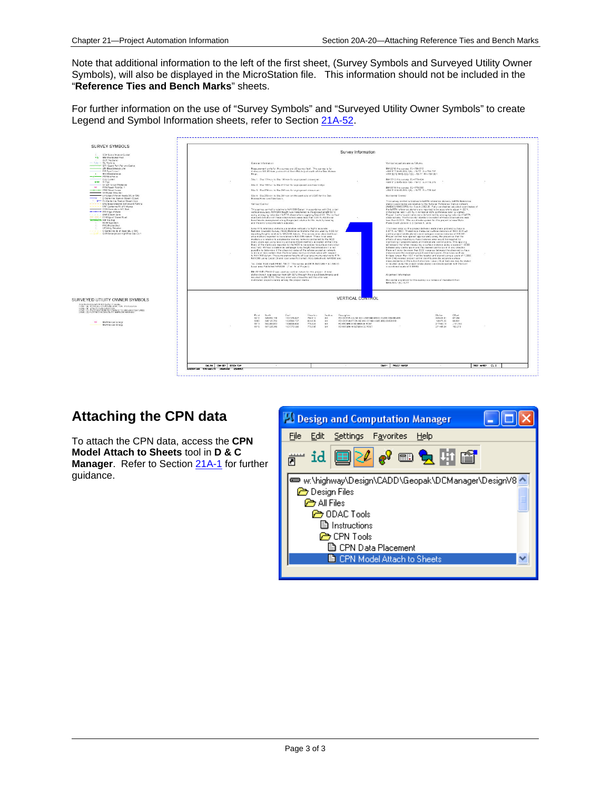Note that additional information to the left of the first sheet, (Survey Symbols and Surveyed Utility Owner Symbols), will also be displayed in the MicroStation file. This information should not be included in the "**Reference Ties and Bench Marks**" sheets.

For further information on the use of "Survey Symbols" and "Surveyed Utility Owner Symbols" to create Legend and Symbol Information sheets, refer to Section 21A-52.



### **Attaching the CPN data**

To attach the CPN data, access the **CPN Model Attach to Sheets** tool in **D & C Manager.** Refer to Section 21A-1 for further guidance.